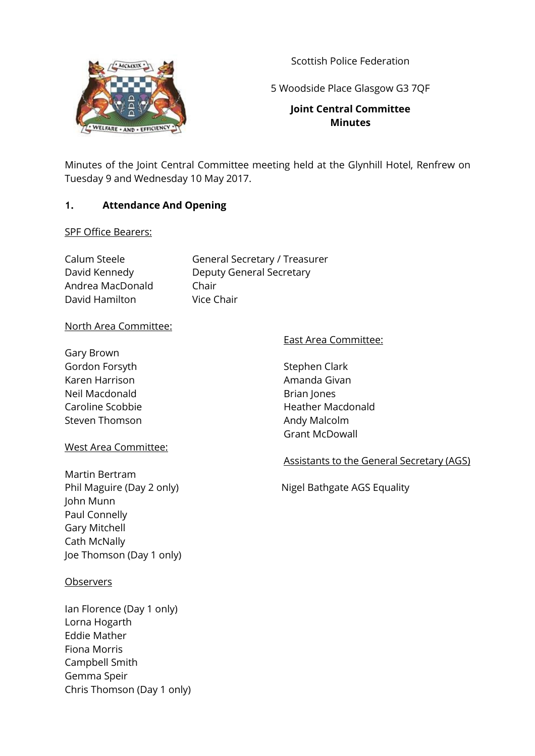

Scottish Police Federation

5 Woodside Place Glasgow G3 7QF

# **Joint Central Committee Minutes**

Minutes of the Joint Central Committee meeting held at the Glynhill Hotel, Renfrew on Tuesday 9 and Wednesday 10 May 2017.

## **1. Attendance And Opening**

SPF Office Bearers:

| Calum Steele     | General Secretary / Treasurer   |
|------------------|---------------------------------|
| David Kennedy    | <b>Deputy General Secretary</b> |
| Andrea MacDonald | Chair                           |
| David Hamilton   | Vice Chair                      |

## North Area Committee:

Gary Brown Gordon Forsyth Karen Harrison Neil Macdonald Caroline Scobbie Steven Thomson

#### West Area Committee:

Martin Bertram John Munn Paul Connelly Gary Mitchell Cath McNally Joe Thomson (Day 1 only)

#### **Observers**

Ian Florence (Day 1 only) Lorna Hogarth Eddie Mather Fiona Morris Campbell Smith Gemma Speir Chris Thomson (Day 1 only)

#### East Area Committee:

Stephen Clark Amanda Givan Brian Jones Heather Macdonald Andy Malcolm Grant McDowall

#### Assistants to the General Secretary (AGS)

Phil Maguire (Day 2 only) Nigel Bathgate AGS Equality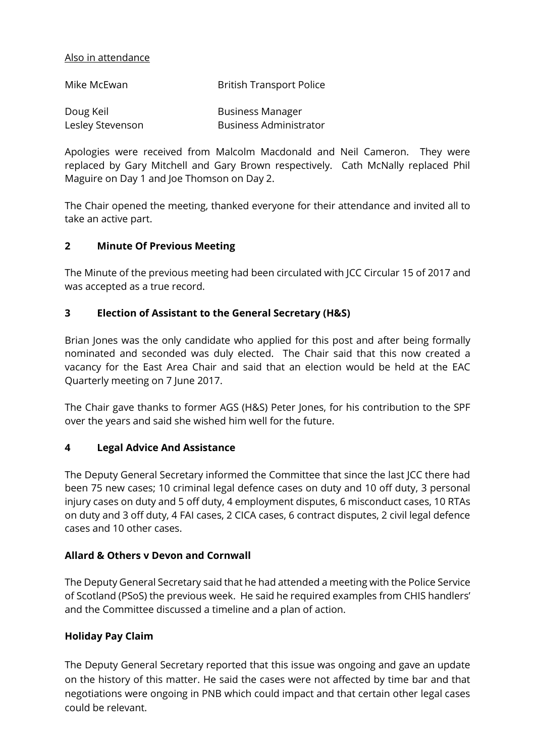#### Also in attendance

| Mike McEwan      | <b>British Transport Police</b> |
|------------------|---------------------------------|
| Doug Keil        | <b>Business Manager</b>         |
| Lesley Stevenson | <b>Business Administrator</b>   |

Apologies were received from Malcolm Macdonald and Neil Cameron. They were replaced by Gary Mitchell and Gary Brown respectively. Cath McNally replaced Phil Maguire on Day 1 and Joe Thomson on Day 2.

The Chair opened the meeting, thanked everyone for their attendance and invited all to take an active part.

#### **2 Minute Of Previous Meeting**

The Minute of the previous meeting had been circulated with JCC Circular 15 of 2017 and was accepted as a true record.

### **3 Election of Assistant to the General Secretary (H&S)**

Brian Jones was the only candidate who applied for this post and after being formally nominated and seconded was duly elected. The Chair said that this now created a vacancy for the East Area Chair and said that an election would be held at the EAC Quarterly meeting on 7 June 2017.

The Chair gave thanks to former AGS (H&S) Peter Jones, for his contribution to the SPF over the years and said she wished him well for the future.

#### **4 Legal Advice And Assistance**

The Deputy General Secretary informed the Committee that since the last JCC there had been 75 new cases; 10 criminal legal defence cases on duty and 10 off duty, 3 personal injury cases on duty and 5 off duty, 4 employment disputes, 6 misconduct cases, 10 RTAs on duty and 3 off duty, 4 FAI cases, 2 CICA cases, 6 contract disputes, 2 civil legal defence cases and 10 other cases.

#### **Allard & Others v Devon and Cornwall**

The Deputy General Secretary said that he had attended a meeting with the Police Service of Scotland (PSoS) the previous week. He said he required examples from CHIS handlers' and the Committee discussed a timeline and a plan of action.

#### **Holiday Pay Claim**

The Deputy General Secretary reported that this issue was ongoing and gave an update on the history of this matter. He said the cases were not affected by time bar and that negotiations were ongoing in PNB which could impact and that certain other legal cases could be relevant.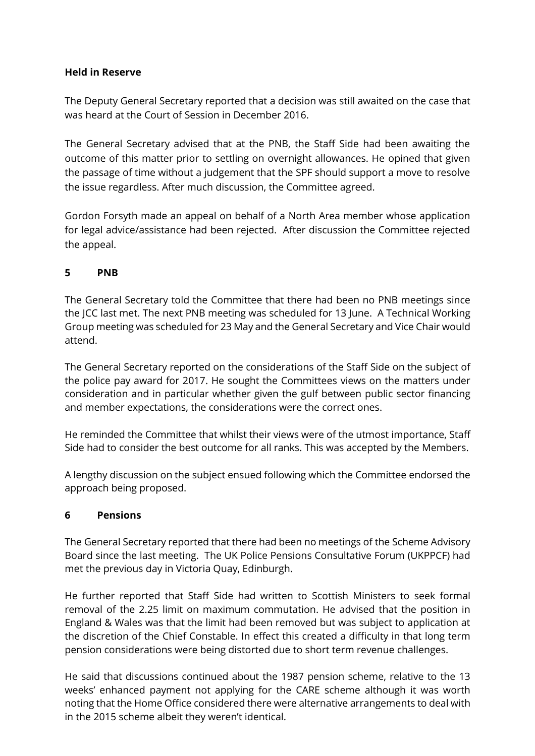### **Held in Reserve**

The Deputy General Secretary reported that a decision was still awaited on the case that was heard at the Court of Session in December 2016.

The General Secretary advised that at the PNB, the Staff Side had been awaiting the outcome of this matter prior to settling on overnight allowances. He opined that given the passage of time without a judgement that the SPF should support a move to resolve the issue regardless. After much discussion, the Committee agreed.

Gordon Forsyth made an appeal on behalf of a North Area member whose application for legal advice/assistance had been rejected. After discussion the Committee rejected the appeal.

## **5 PNB**

The General Secretary told the Committee that there had been no PNB meetings since the JCC last met. The next PNB meeting was scheduled for 13 June. A Technical Working Group meeting was scheduled for 23 May and the General Secretary and Vice Chair would attend.

The General Secretary reported on the considerations of the Staff Side on the subject of the police pay award for 2017. He sought the Committees views on the matters under consideration and in particular whether given the gulf between public sector financing and member expectations, the considerations were the correct ones.

He reminded the Committee that whilst their views were of the utmost importance, Staff Side had to consider the best outcome for all ranks. This was accepted by the Members.

A lengthy discussion on the subject ensued following which the Committee endorsed the approach being proposed.

#### **6 Pensions**

The General Secretary reported that there had been no meetings of the Scheme Advisory Board since the last meeting. The UK Police Pensions Consultative Forum (UKPPCF) had met the previous day in Victoria Quay, Edinburgh.

He further reported that Staff Side had written to Scottish Ministers to seek formal removal of the 2.25 limit on maximum commutation. He advised that the position in England & Wales was that the limit had been removed but was subject to application at the discretion of the Chief Constable. In effect this created a difficulty in that long term pension considerations were being distorted due to short term revenue challenges.

He said that discussions continued about the 1987 pension scheme, relative to the 13 weeks' enhanced payment not applying for the CARE scheme although it was worth noting that the Home Office considered there were alternative arrangements to deal with in the 2015 scheme albeit they weren't identical.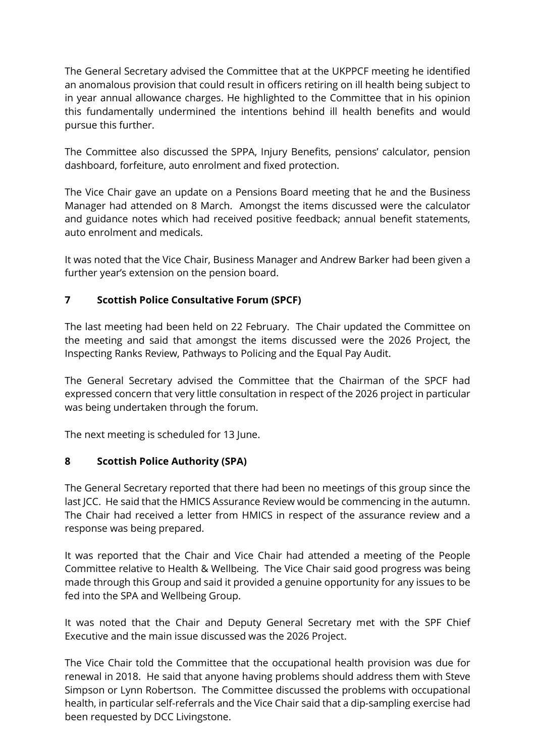The General Secretary advised the Committee that at the UKPPCF meeting he identified an anomalous provision that could result in officers retiring on ill health being subject to in year annual allowance charges. He highlighted to the Committee that in his opinion this fundamentally undermined the intentions behind ill health benefits and would pursue this further.

The Committee also discussed the SPPA, Injury Benefits, pensions' calculator, pension dashboard, forfeiture, auto enrolment and fixed protection.

The Vice Chair gave an update on a Pensions Board meeting that he and the Business Manager had attended on 8 March. Amongst the items discussed were the calculator and guidance notes which had received positive feedback; annual benefit statements, auto enrolment and medicals.

It was noted that the Vice Chair, Business Manager and Andrew Barker had been given a further year's extension on the pension board.

# **7 Scottish Police Consultative Forum (SPCF)**

The last meeting had been held on 22 February. The Chair updated the Committee on the meeting and said that amongst the items discussed were the 2026 Project, the Inspecting Ranks Review, Pathways to Policing and the Equal Pay Audit.

The General Secretary advised the Committee that the Chairman of the SPCF had expressed concern that very little consultation in respect of the 2026 project in particular was being undertaken through the forum.

The next meeting is scheduled for 13 June.

## **8 Scottish Police Authority (SPA)**

The General Secretary reported that there had been no meetings of this group since the last JCC. He said that the HMICS Assurance Review would be commencing in the autumn. The Chair had received a letter from HMICS in respect of the assurance review and a response was being prepared.

It was reported that the Chair and Vice Chair had attended a meeting of the People Committee relative to Health & Wellbeing. The Vice Chair said good progress was being made through this Group and said it provided a genuine opportunity for any issues to be fed into the SPA and Wellbeing Group.

It was noted that the Chair and Deputy General Secretary met with the SPF Chief Executive and the main issue discussed was the 2026 Project.

The Vice Chair told the Committee that the occupational health provision was due for renewal in 2018. He said that anyone having problems should address them with Steve Simpson or Lynn Robertson. The Committee discussed the problems with occupational health, in particular self-referrals and the Vice Chair said that a dip-sampling exercise had been requested by DCC Livingstone.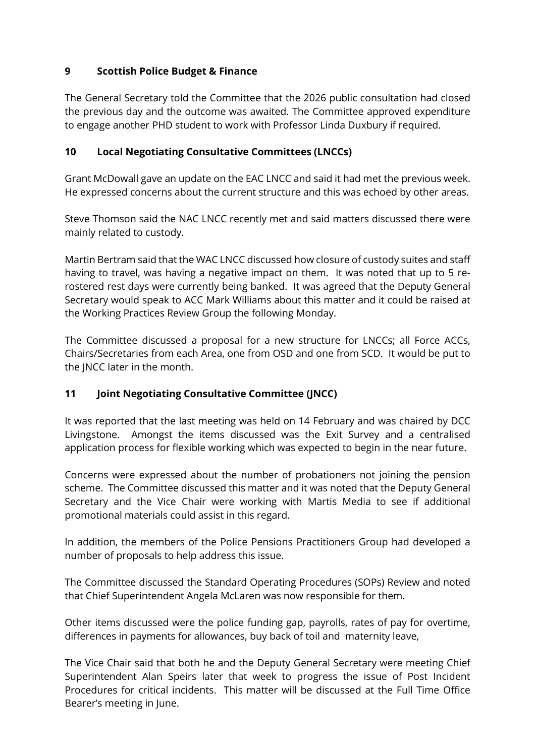## **9 Scottish Police Budget & Finance**

The General Secretary told the Committee that the 2026 public consultation had closed the previous day and the outcome was awaited. The Committee approved expenditure to engage another PHD student to work with Professor Linda Duxbury if required.

### **10 Local Negotiating Consultative Committees (LNCCs)**

Grant McDowall gave an update on the EAC LNCC and said it had met the previous week. He expressed concerns about the current structure and this was echoed by other areas.

Steve Thomson said the NAC LNCC recently met and said matters discussed there were mainly related to custody.

Martin Bertram said that the WAC LNCC discussed how closure of custody suites and staff having to travel, was having a negative impact on them. It was noted that up to 5 rerostered rest days were currently being banked. It was agreed that the Deputy General Secretary would speak to ACC Mark Williams about this matter and it could be raised at the Working Practices Review Group the following Monday.

The Committee discussed a proposal for a new structure for LNCCs; all Force ACCs, Chairs/Secretaries from each Area, one from OSD and one from SCD. It would be put to the JNCC later in the month.

## **11 Joint Negotiating Consultative Committee (JNCC)**

It was reported that the last meeting was held on 14 February and was chaired by DCC Livingstone. Amongst the items discussed was the Exit Survey and a centralised application process for flexible working which was expected to begin in the near future.

Concerns were expressed about the number of probationers not joining the pension scheme. The Committee discussed this matter and it was noted that the Deputy General Secretary and the Vice Chair were working with Martis Media to see if additional promotional materials could assist in this regard.

In addition, the members of the Police Pensions Practitioners Group had developed a number of proposals to help address this issue.

The Committee discussed the Standard Operating Procedures (SOPs) Review and noted that Chief Superintendent Angela McLaren was now responsible for them.

Other items discussed were the police funding gap, payrolls, rates of pay for overtime, differences in payments for allowances, buy back of toil and maternity leave,

The Vice Chair said that both he and the Deputy General Secretary were meeting Chief Superintendent Alan Speirs later that week to progress the issue of Post Incident Procedures for critical incidents. This matter will be discussed at the Full Time Office Bearer's meeting in June.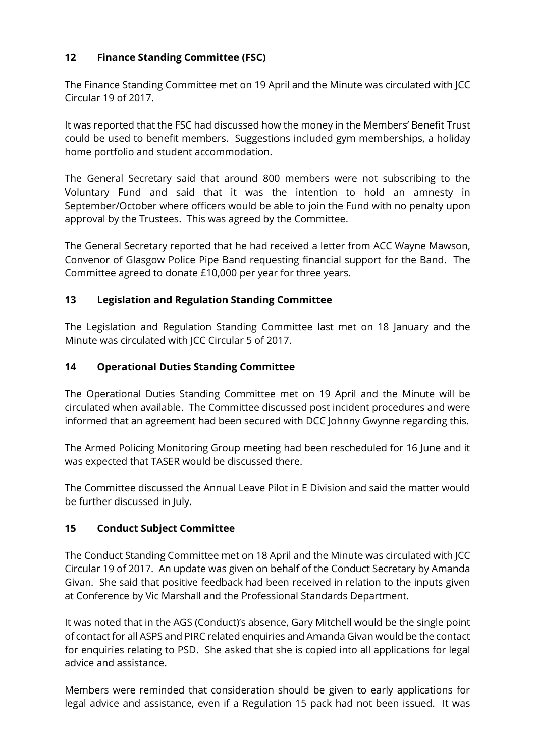# **12 Finance Standing Committee (FSC)**

The Finance Standing Committee met on 19 April and the Minute was circulated with JCC Circular 19 of 2017.

It was reported that the FSC had discussed how the money in the Members' Benefit Trust could be used to benefit members. Suggestions included gym memberships, a holiday home portfolio and student accommodation.

The General Secretary said that around 800 members were not subscribing to the Voluntary Fund and said that it was the intention to hold an amnesty in September/October where officers would be able to join the Fund with no penalty upon approval by the Trustees. This was agreed by the Committee.

The General Secretary reported that he had received a letter from ACC Wayne Mawson, Convenor of Glasgow Police Pipe Band requesting financial support for the Band. The Committee agreed to donate £10,000 per year for three years.

# **13 Legislation and Regulation Standing Committee**

The Legislation and Regulation Standing Committee last met on 18 January and the Minute was circulated with JCC Circular 5 of 2017.

# **14 Operational Duties Standing Committee**

The Operational Duties Standing Committee met on 19 April and the Minute will be circulated when available. The Committee discussed post incident procedures and were informed that an agreement had been secured with DCC Johnny Gwynne regarding this.

The Armed Policing Monitoring Group meeting had been rescheduled for 16 June and it was expected that TASER would be discussed there.

The Committee discussed the Annual Leave Pilot in E Division and said the matter would be further discussed in July.

## **15 Conduct Subject Committee**

The Conduct Standing Committee met on 18 April and the Minute was circulated with JCC Circular 19 of 2017. An update was given on behalf of the Conduct Secretary by Amanda Givan. She said that positive feedback had been received in relation to the inputs given at Conference by Vic Marshall and the Professional Standards Department.

It was noted that in the AGS (Conduct)'s absence, Gary Mitchell would be the single point of contact for all ASPS and PIRC related enquiries and Amanda Givan would be the contact for enquiries relating to PSD. She asked that she is copied into all applications for legal advice and assistance.

Members were reminded that consideration should be given to early applications for legal advice and assistance, even if a Regulation 15 pack had not been issued. It was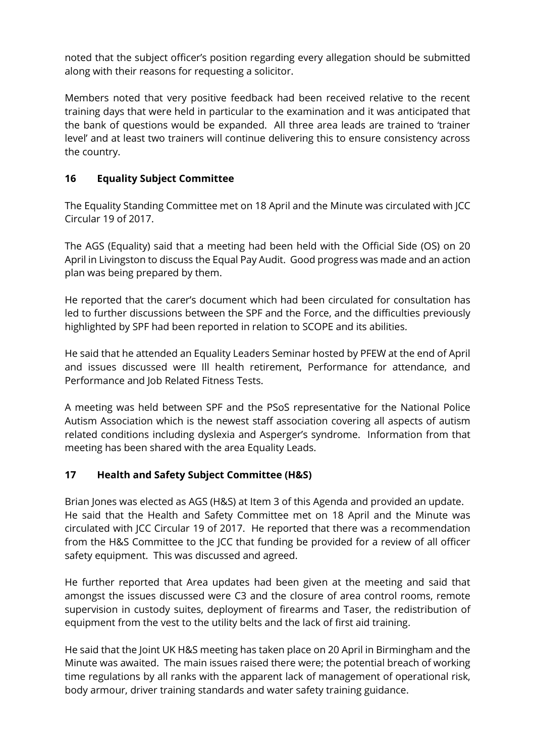noted that the subject officer's position regarding every allegation should be submitted along with their reasons for requesting a solicitor.

Members noted that very positive feedback had been received relative to the recent training days that were held in particular to the examination and it was anticipated that the bank of questions would be expanded. All three area leads are trained to 'trainer level' and at least two trainers will continue delivering this to ensure consistency across the country.

# **16 Equality Subject Committee**

The Equality Standing Committee met on 18 April and the Minute was circulated with JCC Circular 19 of 2017.

The AGS (Equality) said that a meeting had been held with the Official Side (OS) on 20 April in Livingston to discuss the Equal Pay Audit. Good progress was made and an action plan was being prepared by them.

He reported that the carer's document which had been circulated for consultation has led to further discussions between the SPF and the Force, and the difficulties previously highlighted by SPF had been reported in relation to SCOPE and its abilities.

He said that he attended an Equality Leaders Seminar hosted by PFEW at the end of April and issues discussed were Ill health retirement, Performance for attendance, and Performance and Job Related Fitness Tests.

A meeting was held between SPF and the PSoS representative for the National Police Autism Association which is the newest staff association covering all aspects of autism related conditions including dyslexia and Asperger's syndrome. Information from that meeting has been shared with the area Equality Leads.

## **17 Health and Safety Subject Committee (H&S)**

Brian Jones was elected as AGS (H&S) at Item 3 of this Agenda and provided an update. He said that the Health and Safety Committee met on 18 April and the Minute was circulated with JCC Circular 19 of 2017. He reported that there was a recommendation from the H&S Committee to the JCC that funding be provided for a review of all officer safety equipment. This was discussed and agreed.

He further reported that Area updates had been given at the meeting and said that amongst the issues discussed were C3 and the closure of area control rooms, remote supervision in custody suites, deployment of firearms and Taser, the redistribution of equipment from the vest to the utility belts and the lack of first aid training.

He said that the Joint UK H&S meeting has taken place on 20 April in Birmingham and the Minute was awaited. The main issues raised there were; the potential breach of working time regulations by all ranks with the apparent lack of management of operational risk, body armour, driver training standards and water safety training guidance.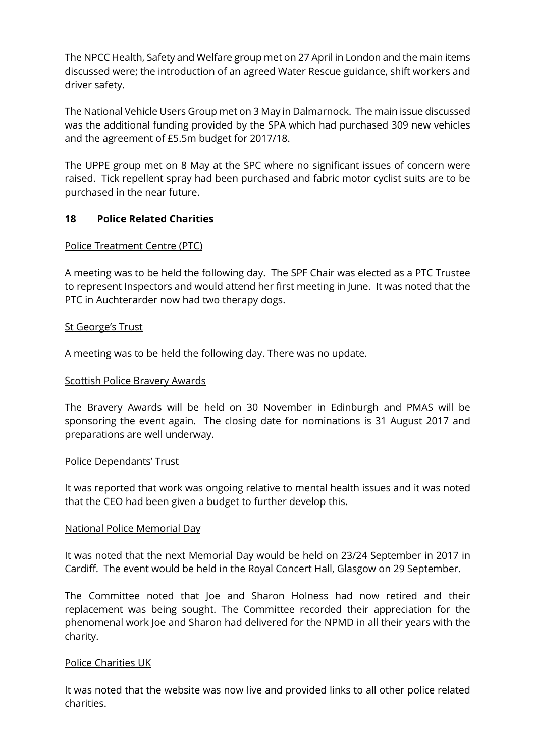The NPCC Health, Safety and Welfare group met on 27 April in London and the main items discussed were; the introduction of an agreed Water Rescue guidance, shift workers and driver safety.

The National Vehicle Users Group met on 3 May in Dalmarnock. The main issue discussed was the additional funding provided by the SPA which had purchased 309 new vehicles and the agreement of £5.5m budget for 2017/18.

The UPPE group met on 8 May at the SPC where no significant issues of concern were raised. Tick repellent spray had been purchased and fabric motor cyclist suits are to be purchased in the near future.

#### **18 Police Related Charities**

### Police Treatment Centre (PTC)

A meeting was to be held the following day. The SPF Chair was elected as a PTC Trustee to represent Inspectors and would attend her first meeting in June. It was noted that the PTC in Auchterarder now had two therapy dogs.

#### **St George's Trust**

A meeting was to be held the following day. There was no update.

#### Scottish Police Bravery Awards

The Bravery Awards will be held on 30 November in Edinburgh and PMAS will be sponsoring the event again. The closing date for nominations is 31 August 2017 and preparations are well underway.

#### Police Dependants' Trust

It was reported that work was ongoing relative to mental health issues and it was noted that the CEO had been given a budget to further develop this.

#### National Police Memorial Day

It was noted that the next Memorial Day would be held on 23/24 September in 2017 in Cardiff. The event would be held in the Royal Concert Hall, Glasgow on 29 September.

The Committee noted that Joe and Sharon Holness had now retired and their replacement was being sought. The Committee recorded their appreciation for the phenomenal work Joe and Sharon had delivered for the NPMD in all their years with the charity.

#### Police Charities UK

It was noted that the website was now live and provided links to all other police related charities.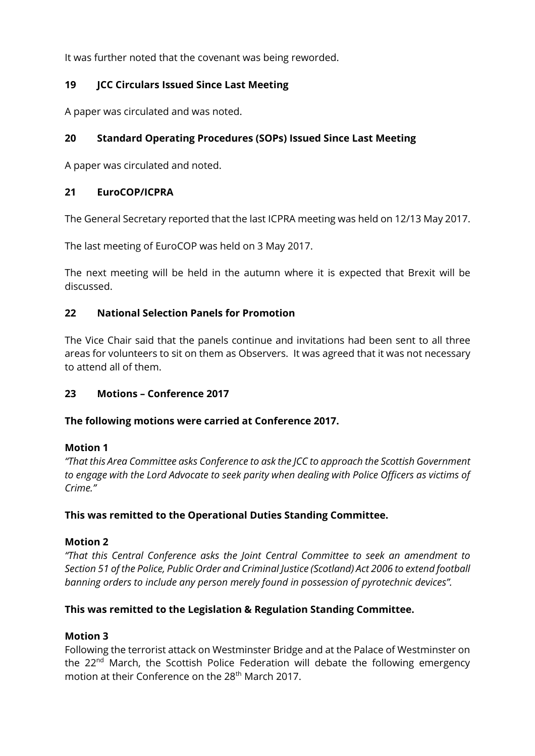It was further noted that the covenant was being reworded.

## **19 JCC Circulars Issued Since Last Meeting**

A paper was circulated and was noted.

# **20 Standard Operating Procedures (SOPs) Issued Since Last Meeting**

A paper was circulated and noted.

### **21 EuroCOP/ICPRA**

The General Secretary reported that the last ICPRA meeting was held on 12/13 May 2017.

The last meeting of EuroCOP was held on 3 May 2017.

The next meeting will be held in the autumn where it is expected that Brexit will be discussed.

### **22 National Selection Panels for Promotion**

The Vice Chair said that the panels continue and invitations had been sent to all three areas for volunteers to sit on them as Observers. It was agreed that it was not necessary to attend all of them.

## **23 Motions – Conference 2017**

#### **The following motions were carried at Conference 2017.**

#### **Motion 1**

*"That this Area Committee asks Conference to ask the JCC to approach the Scottish Government to engage with the Lord Advocate to seek parity when dealing with Police Officers as victims of Crime."*

#### **This was remitted to the Operational Duties Standing Committee.**

## **Motion 2**

*"That this Central Conference asks the Joint Central Committee to seek an amendment to Section 51 of the Police, Public Order and Criminal Justice (Scotland) Act 2006 to extend football banning orders to include any person merely found in possession of pyrotechnic devices".*

## **This was remitted to the Legislation & Regulation Standing Committee.**

## **Motion 3**

Following the terrorist attack on Westminster Bridge and at the Palace of Westminster on the 22<sup>nd</sup> March, the Scottish Police Federation will debate the following emergency motion at their Conference on the 28<sup>th</sup> March 2017.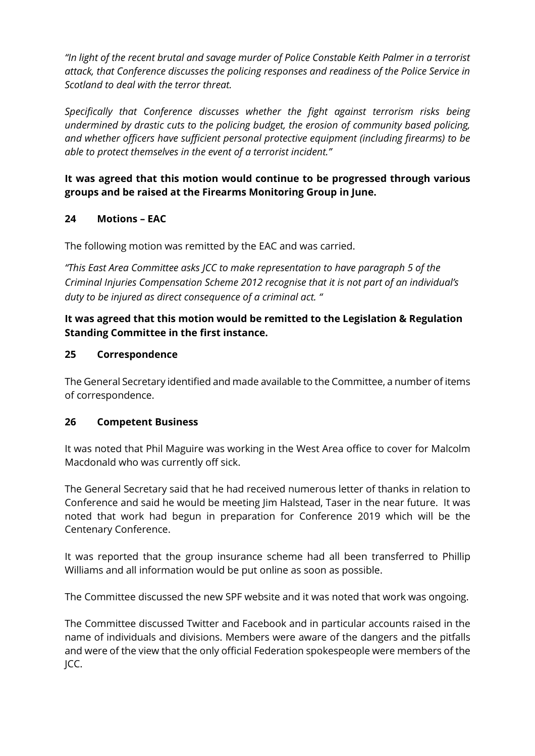*"In light of the recent brutal and savage murder of Police Constable Keith Palmer in a terrorist attack, that Conference discusses the policing responses and readiness of the Police Service in Scotland to deal with the terror threat.*

*Specifically that Conference discusses whether the fight against terrorism risks being undermined by drastic cuts to the policing budget, the erosion of community based policing, and whether officers have sufficient personal protective equipment (including firearms) to be able to protect themselves in the event of a terrorist incident."*

# **It was agreed that this motion would continue to be progressed through various groups and be raised at the Firearms Monitoring Group in June.**

# **24 Motions – EAC**

The following motion was remitted by the EAC and was carried.

*"This East Area Committee asks JCC to make representation to have paragraph 5 of the Criminal Injuries Compensation Scheme 2012 recognise that it is not part of an individual's duty to be injured as direct consequence of a criminal act. "*

# **It was agreed that this motion would be remitted to the Legislation & Regulation Standing Committee in the first instance.**

### **25 Correspondence**

The General Secretary identified and made available to the Committee, a number of items of correspondence.

#### **26 Competent Business**

It was noted that Phil Maguire was working in the West Area office to cover for Malcolm Macdonald who was currently off sick.

The General Secretary said that he had received numerous letter of thanks in relation to Conference and said he would be meeting Jim Halstead, Taser in the near future. It was noted that work had begun in preparation for Conference 2019 which will be the Centenary Conference.

It was reported that the group insurance scheme had all been transferred to Phillip Williams and all information would be put online as soon as possible.

The Committee discussed the new SPF website and it was noted that work was ongoing.

The Committee discussed Twitter and Facebook and in particular accounts raised in the name of individuals and divisions. Members were aware of the dangers and the pitfalls and were of the view that the only official Federation spokespeople were members of the JCC.